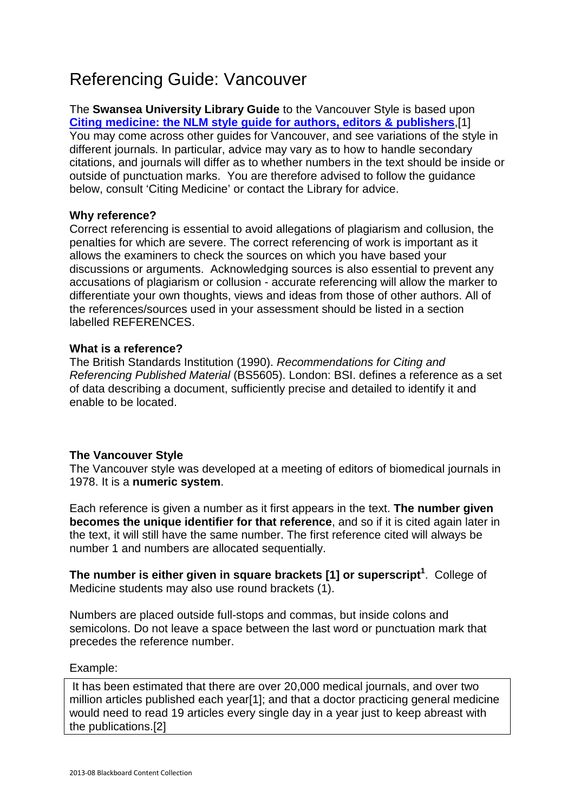# Referencing Guide: Vancouver

The **Swansea University Library Guide** to the Vancouver Style is based upon **Citing medicine: the NLM style guide for authors, editors & publishers**,[1] You may come across other guides for Vancouver, and see variations of the style in different journals. In particular, advice may vary as to how to handle secondary citations, and journals will differ as to whether numbers in the text should be inside or outside of punctuation marks. You are therefore advised to follow the guidance below, consult 'Citing Medicine' or contact the Library for advice.

## **Why reference?**

Correct referencing is essential to avoid allegations of plagiarism and collusion, the penalties for which are severe. The correct referencing of work is important as it allows the examiners to check the sources on which you have based your discussions or arguments. Acknowledging sources is also essential to prevent any accusations of plagiarism or collusion - accurate referencing will allow the marker to differentiate your own thoughts, views and ideas from those of other authors. All of the references/sources used in your assessment should be listed in a section labelled REFERENCES.

## **What is a reference?**

The British Standards Institution (1990). Recommendations for Citing and Referencing Published Material (BS5605). London: BSI. defines a reference as a set of data describing a document, sufficiently precise and detailed to identify it and enable to be located.

# **The Vancouver Style**

The Vancouver style was developed at a meeting of editors of biomedical journals in 1978. It is a **numeric system**.

Each reference is given a number as it first appears in the text. **The number given becomes the unique identifier for that reference**, and so if it is cited again later in the text, it will still have the same number. The first reference cited will always be number 1 and numbers are allocated sequentially.

**The number is either given in square brackets [1] or superscript<sup>1</sup>** . College of Medicine students may also use round brackets (1).

Numbers are placed outside full-stops and commas, but inside colons and semicolons. Do not leave a space between the last word or punctuation mark that precedes the reference number.

## Example:

It has been estimated that there are over 20,000 medical journals, and over two million articles published each year[1]; and that a doctor practicing general medicine would need to read 19 articles every single day in a year just to keep abreast with the publications.[2]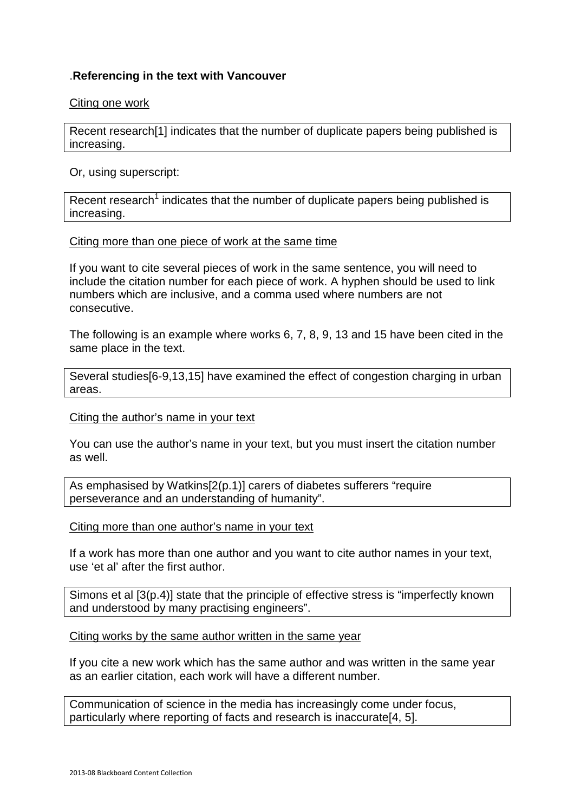# .**Referencing in the text with Vancouver**

#### Citing one work

Recent research[1] indicates that the number of duplicate papers being published is increasing.

#### Or, using superscript:

Recent research<sup>1</sup> indicates that the number of duplicate papers being published is increasing.

#### Citing more than one piece of work at the same time

If you want to cite several pieces of work in the same sentence, you will need to include the citation number for each piece of work. A hyphen should be used to link numbers which are inclusive, and a comma used where numbers are not consecutive.

The following is an example where works 6, 7, 8, 9, 13 and 15 have been cited in the same place in the text.

Several studies[6-9,13,15] have examined the effect of congestion charging in urban areas.

#### Citing the author's name in your text

You can use the author's name in your text, but you must insert the citation number as well.

As emphasised by Watkins[2(p.1)] carers of diabetes sufferers "require perseverance and an understanding of humanity".

Citing more than one author's name in your text

If a work has more than one author and you want to cite author names in your text, use 'et al' after the first author.

Simons et al [3(p.4)] state that the principle of effective stress is "imperfectly known and understood by many practising engineers".

Citing works by the same author written in the same year

If you cite a new work which has the same author and was written in the same year as an earlier citation, each work will have a different number.

Communication of science in the media has increasingly come under focus, particularly where reporting of facts and research is inaccurate[4, 5].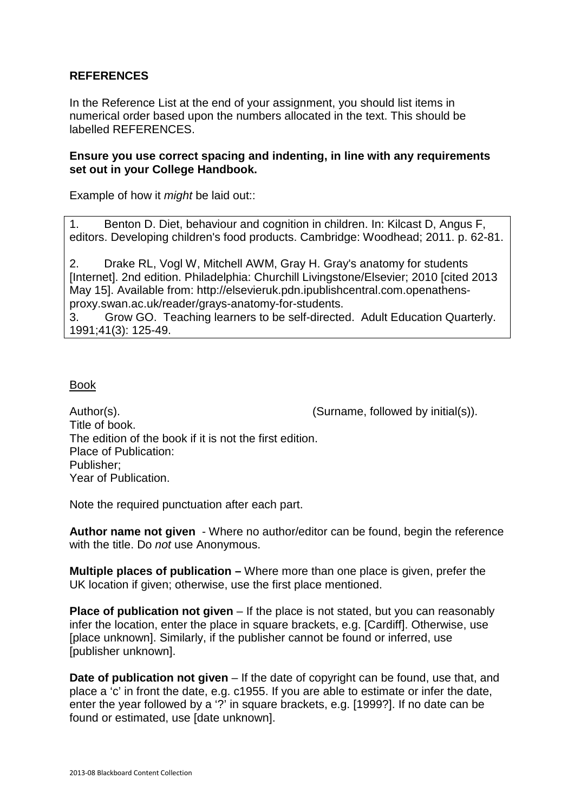## **REFERENCES**

In the Reference List at the end of your assignment, you should list items in numerical order based upon the numbers allocated in the text. This should be labelled REFERENCES.

#### **Ensure you use correct spacing and indenting, in line with any requirements set out in your College Handbook.**

Example of how it *might* be laid out::

1. Benton D. Diet, behaviour and cognition in children. In: Kilcast D, Angus F, editors. Developing children's food products. Cambridge: Woodhead; 2011. p. 62-81.

2. Drake RL, Vogl W, Mitchell AWM, Gray H. Gray's anatomy for students [Internet]. 2nd edition. Philadelphia: Churchill Livingstone/Elsevier; 2010 [cited 2013 May 15]. Available from: http://elsevieruk.pdn.ipublishcentral.com.openathensproxy.swan.ac.uk/reader/grays-anatomy-for-students.

3. Grow GO. Teaching learners to be self-directed. Adult Education Quarterly. 1991;41(3): 125-49.

#### Book

Author(s).  $\blacksquare$  (Surname, followed by initial(s)). Title of book. The edition of the book if it is not the first edition. Place of Publication: Publisher; Year of Publication.

Note the required punctuation after each part.

**Author name not given** - Where no author/editor can be found, begin the reference with the title. Do not use Anonymous.

**Multiple places of publication –** Where more than one place is given, prefer the UK location if given; otherwise, use the first place mentioned.

**Place of publication not given** – If the place is not stated, but you can reasonably infer the location, enter the place in square brackets, e.g. [Cardiff]. Otherwise, use [place unknown]. Similarly, if the publisher cannot be found or inferred, use [publisher unknown].

**Date of publication not given** – If the date of copyright can be found, use that, and place a 'c' in front the date, e.g. c1955. If you are able to estimate or infer the date, enter the year followed by a '?' in square brackets, e.g. [1999?]. If no date can be found or estimated, use [date unknown].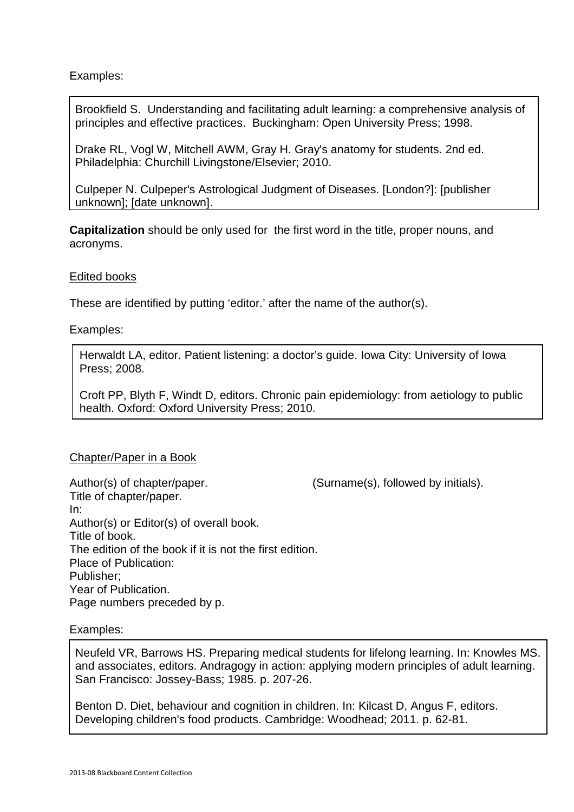Examples:

Brookfield S. Understanding and facilitating adult learning: a comprehensive analysis of principles and effective practices. Buckingham: Open University Press; 1998.

Drake RL, Vogl W, Mitchell AWM, Gray H. Gray's anatomy for students. 2nd ed. Philadelphia: Churchill Livingstone/Elsevier; 2010.

Culpeper N. Culpeper's Astrological Judgment of Diseases. [London?]: [publisher unknown]; [date unknown].

**Capitalization** should be only used for the first word in the title, proper nouns, and acronyms.

#### Edited books

These are identified by putting 'editor.' after the name of the author(s).

#### Examples:

Herwaldt LA, editor. Patient listening: a doctor's guide. Iowa City: University of Iowa Press; 2008.

Croft PP, Blyth F, Windt D, editors. Chronic pain epidemiology: from aetiology to public health. Oxford: Oxford University Press; 2010.

#### Chapter/Paper in a Book

Author(s) of chapter/paper. (Surname(s), followed by initials). Title of chapter/paper. In: Author(s) or Editor(s) of overall book. Title of book. The edition of the book if it is not the first edition. Place of Publication: Publisher; Year of Publication. Page numbers preceded by p.

## Examples:

Neufeld VR, Barrows HS. Preparing medical students for lifelong learning. In: Knowles MS. and associates, editors. Andragogy in action: applying modern principles of adult learning. San Francisco: Jossey-Bass; 1985. p. 207-26.

Benton D. Diet, behaviour and cognition in children. In: Kilcast D, Angus F, editors. Developing children's food products. Cambridge: Woodhead; 2011. p. 62-81.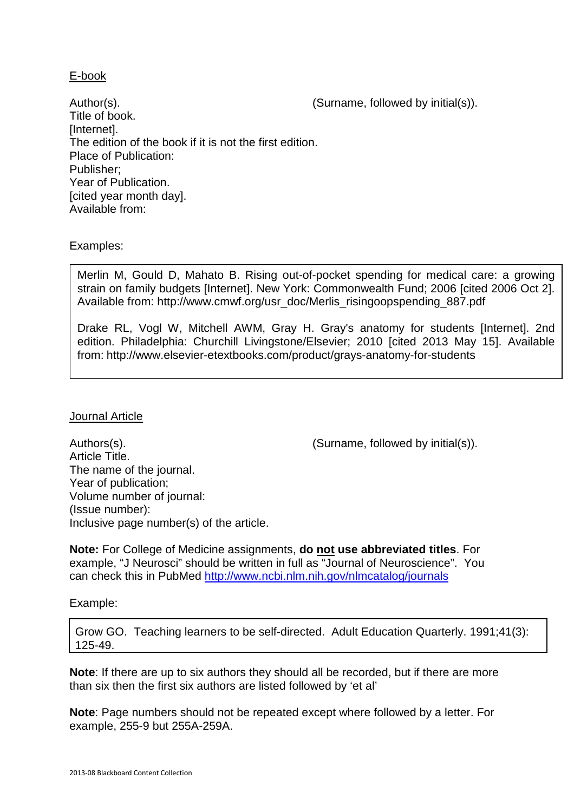### E-book

Author(s).  $\qquad \qquad$  (Surname, followed by initial(s)). Title of book. [Internet]. The edition of the book if it is not the first edition. Place of Publication: Publisher; Year of Publication. [cited year month day]. Available from:

## Examples:

Merlin M, Gould D, Mahato B. Rising out-of-pocket spending for medical care: a growing strain on family budgets [Internet]. New York: Commonwealth Fund; 2006 [cited 2006 Oct 2]. Available from: http://www.cmwf.org/usr\_doc/Merlis\_risingoopspending\_887.pdf

Drake RL, Vogl W, Mitchell AWM, Gray H. Gray's anatomy for students [Internet]. 2nd edition. Philadelphia: Churchill Livingstone/Elsevier; 2010 [cited 2013 May 15]. Available from: http://www.elsevier-etextbooks.com/product/grays-anatomy-for-students

#### Journal Article

Authors(s).  $\blacksquare$  (Surname, followed by initial(s)). Article Title. The name of the journal. Year of publication; Volume number of journal: (Issue number): Inclusive page number(s) of the article.

**Note:** For College of Medicine assignments, **do not use abbreviated titles**. For example, "J Neurosci" should be written in full as "Journal of Neuroscience". You can check this in PubMed http://www.ncbi.nlm.nih.gov/nlmcatalog/journals

Example:

Grow GO. Teaching learners to be self-directed. Adult Education Quarterly. 1991;41(3): 125-49.

**Note**: If there are up to six authors they should all be recorded, but if there are more than six then the first six authors are listed followed by 'et al'

**Note**: Page numbers should not be repeated except where followed by a letter. For example, 255-9 but 255A-259A.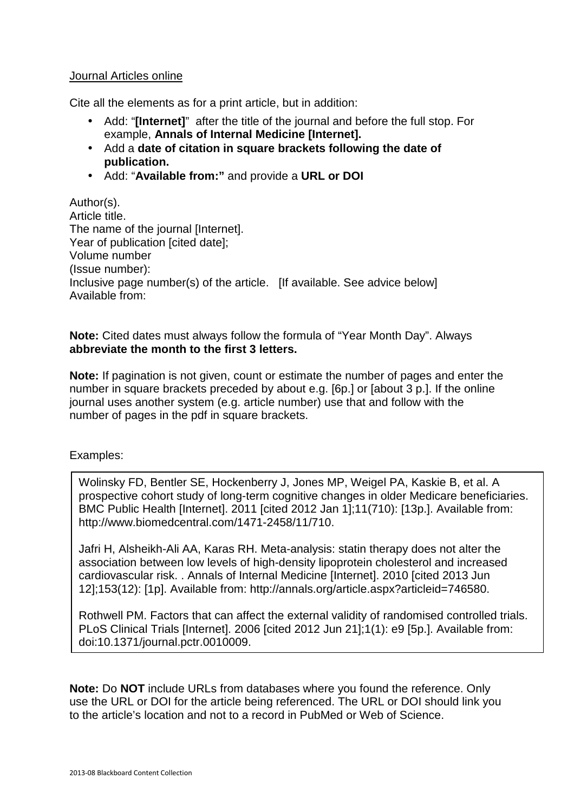## Journal Articles online

Cite all the elements as for a print article, but in addition:

- Add: "**[Internet]**"after the title of the journal and before the full stop. For example, **Annals of Internal Medicine [Internet].**
- Add a **date of citation in square brackets following the date of publication.**
- Add: "**Available from:"** and provide a **URL or DOI**

Author(s). Article title. The name of the journal *[Internet]*. Year of publication [cited date]; Volume number (Issue number): Inclusive page number(s) of the article. [If available. See advice below] Available from:

## **Note:** Cited dates must always follow the formula of "Year Month Day". Always **abbreviate the month to the first 3 letters.**

**Note:** If pagination is not given, count or estimate the number of pages and enter the number in square brackets preceded by about e.g. [6p.] or [about 3 p.]. If the online journal uses another system (e.g. article number) use that and follow with the number of pages in the pdf in square brackets.

Examples:

Wolinsky FD, Bentler SE, Hockenberry J, Jones MP, Weigel PA, Kaskie B, et al. A prospective cohort study of long-term cognitive changes in older Medicare beneficiaries. BMC Public Health [Internet]. 2011 [cited 2012 Jan 1];11(710): [13p.]. Available from: http://www.biomedcentral.com/1471-2458/11/710.

Jafri H, Alsheikh-Ali AA, Karas RH. Meta-analysis: statin therapy does not alter the association between low levels of high-density lipoprotein cholesterol and increased cardiovascular risk. . Annals of Internal Medicine [Internet]. 2010 [cited 2013 Jun 12];153(12): [1p]. Available from: http://annals.org/article.aspx?articleid=746580.

Rothwell PM. Factors that can affect the external validity of randomised controlled trials. PLoS Clinical Trials [Internet]. 2006 [cited 2012 Jun 21];1(1): e9 [5p.]. Available from: doi:10.1371/journal.pctr.0010009.

**Note:** Do **NOT** include URLs from databases where you found the reference. Only use the URL or DOI for the article being referenced. The URL or DOI should link you to the article's location and not to a record in PubMed or Web of Science.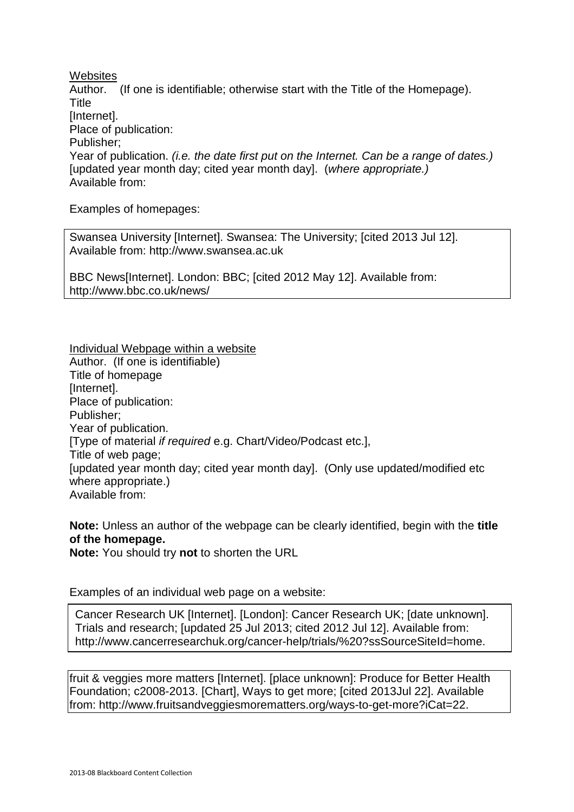**Websites** 

Author. (If one is identifiable; otherwise start with the Title of the Homepage). **Title** [Internet]. Place of publication: Publisher; Year of publication. *(i.e. the date first put on the Internet. Can be a range of dates.)* [updated year month day; cited year month day]. (where appropriate.) Available from:

Examples of homepages:

Swansea University [Internet]. Swansea: The University; [cited 2013 Jul 12]. Available from: http://www.swansea.ac.uk

BBC News[Internet]. London: BBC; [cited 2012 May 12]. Available from: http://www.bbc.co.uk/news/

Individual Webpage within a website Author. (If one is identifiable) Title of homepage [Internet]. Place of publication: Publisher; Year of publication. [Type of material if required e.g. Chart/Video/Podcast etc.], Title of web page; [updated year month day; cited year month day]. (Only use updated/modified etc where appropriate.) Available from:

**Note:** Unless an author of the webpage can be clearly identified, begin with the **title of the homepage.** 

**Note:** You should try **not** to shorten the URL

Examples of an individual web page on a website:

Trials and research; [updated 25 Jul 2013; cited 2012 Jul 12]. Available from: Cancer Research UK [Internet]. [London]: Cancer Research UK; [date unknown]. http://www.cancerresearchuk.org/cancer-help/trials/%20?ssSourceSiteId=home.

fruit & veggies more matters [Internet]. [place unknown]: Produce for Better Health Foundation; c2008-2013. [Chart], Ways to get more; [cited 2013Jul 22]. Available from: http://www.fruitsandveggiesmorematters.org/ways-to-get-more?iCat=22.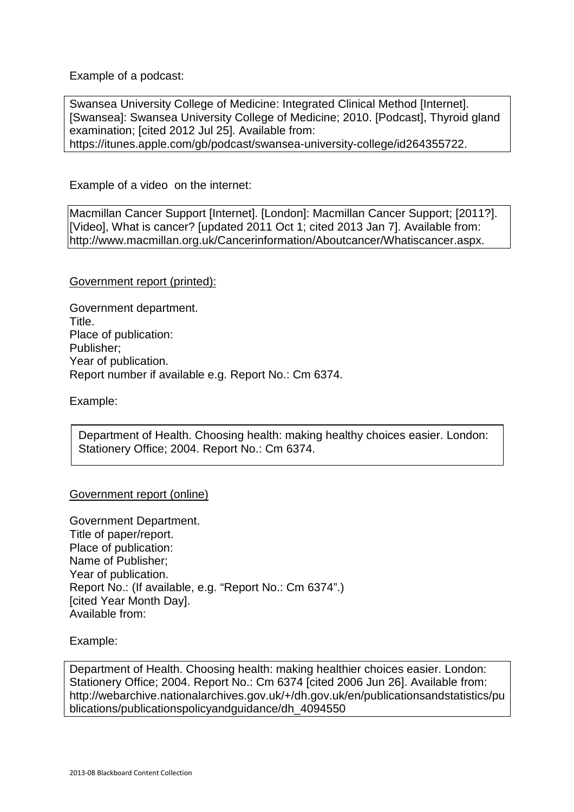Example of a podcast:

Swansea University College of Medicine: Integrated Clinical Method [Internet]. [Swansea]: Swansea University College of Medicine; 2010. [Podcast], Thyroid gland examination; [cited 2012 Jul 25]. Available from: https://itunes.apple.com/gb/podcast/swansea-university-college/id264355722.

Example of a video on the internet:

Macmillan Cancer Support [Internet]. [London]: Macmillan Cancer Support; [2011?]. [Video], What is cancer? [updated 2011 Oct 1; cited 2013 Jan 7]. Available from: http://www.macmillan.org.uk/Cancerinformation/Aboutcancer/Whatiscancer.aspx.

Government report (printed):

Government department. Title. Place of publication: Publisher; Year of publication. Report number if available e.g. Report No.: Cm 6374.

Example:

Department of Health. Choosing health: making healthy choices easier. London: Stationery Office; 2004. Report No.: Cm 6374.

#### Government report (online)

Government Department. Title of paper/report. Place of publication: Name of Publisher; Year of publication. Report No.: (If available, e.g. "Report No.: Cm 6374".) **Icited Year Month Dayl.** Available from:

Example:

Department of Health. Choosing health: making healthier choices easier. London: Stationery Office; 2004. Report No.: Cm 6374 [cited 2006 Jun 26]. Available from: http://webarchive.nationalarchives.gov.uk/+/dh.gov.uk/en/publicationsandstatistics/pu blications/publicationspolicyandguidance/dh\_4094550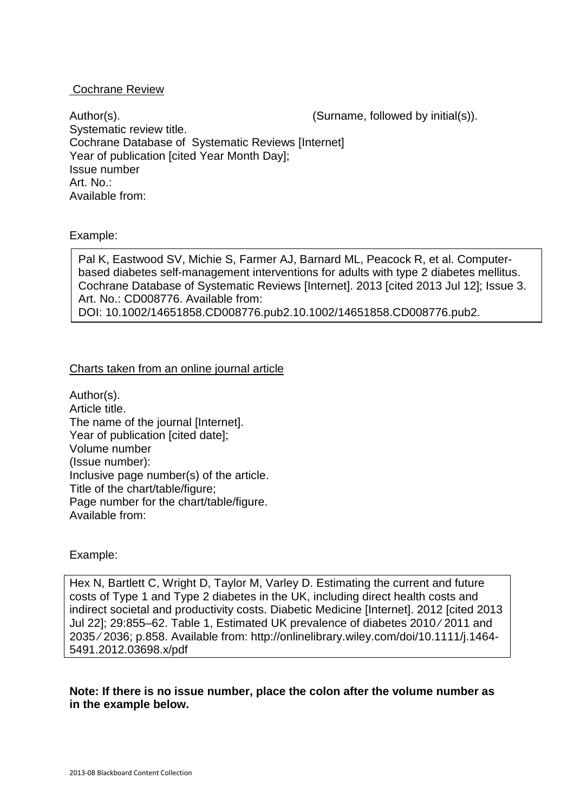### Cochrane Review

Author(s).  $\blacksquare$  (Surname, followed by initial(s)). Systematic review title. Cochrane Database of Systematic Reviews [Internet] Year of publication [cited Year Month Day]; Issue number Art. No.: Available from:

#### Example:

Pal K, Eastwood SV, Michie S, Farmer AJ, Barnard ML, Peacock R, et al. Computerbased diabetes self-management interventions for adults with type 2 diabetes mellitus. Cochrane Database of Systematic Reviews [Internet]. 2013 [cited 2013 Jul 12]; Issue 3. Art. No.: CD008776. Available from: DOI: 10.1002/14651858.CD008776.pub2.10.1002/14651858.CD008776.pub2.

# Charts taken from an online journal article

Author(s). Article title. The name of the journal *[Internet]*. Year of publication [cited date]; Volume number (Issue number): Inclusive page number(s) of the article. Title of the chart/table/figure; Page number for the chart/table/figure. Available from:

#### Example:

Hex N, Bartlett C, Wright D, Taylor M, Varley D. Estimating the current and future costs of Type 1 and Type 2 diabetes in the UK, including direct health costs and indirect societal and productivity costs. Diabetic Medicine [Internet]. 2012 [cited 2013 Jul 22]; 29:855–62. Table 1, Estimated UK prevalence of diabetes 2010 ⁄ 2011 and 2035 ⁄ 2036; p.858. Available from: http://onlinelibrary.wiley.com/doi/10.1111/j.1464- 5491.2012.03698.x/pdf

**Note: If there is no issue number, place the colon after the volume number as in the example below.**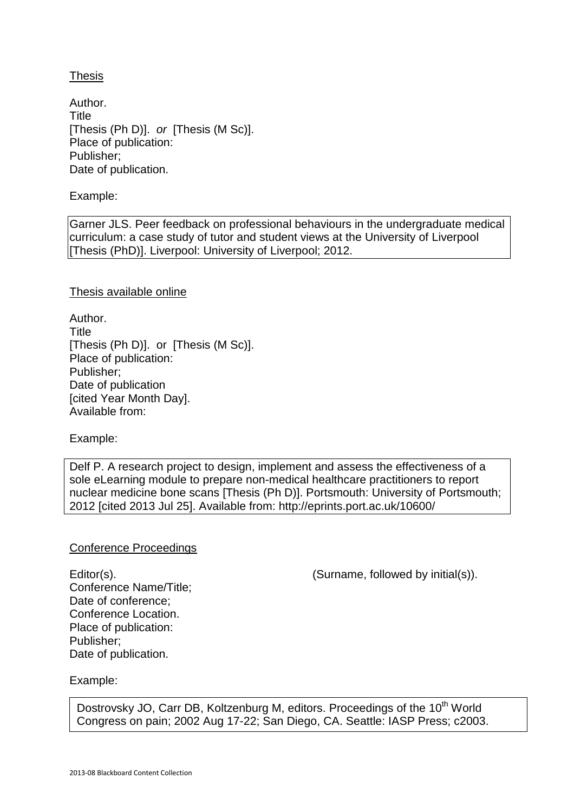Thesis

Author. **Title** [Thesis (Ph D)]. or [Thesis (M Sc)]. Place of publication: Publisher; Date of publication.

Example:

Garner JLS. Peer feedback on professional behaviours in the undergraduate medical curriculum: a case study of tutor and student views at the University of Liverpool [Thesis (PhD)]. Liverpool: University of Liverpool; 2012.

Thesis available online

Author. **Title** [Thesis (Ph D)]. or [Thesis (M Sc)]. Place of publication: Publisher; Date of publication [cited Year Month Day]. Available from:

Example:

Delf P. A research project to design, implement and assess the effectiveness of a sole eLearning module to prepare non-medical healthcare practitioners to report nuclear medicine bone scans [Thesis (Ph D)]. Portsmouth: University of Portsmouth; 2012 [cited 2013 Jul 25]. Available from: http://eprints.port.ac.uk/10600/

## Conference Proceedings

Conference Name/Title; Date of conference; Conference Location. Place of publication: Publisher; Date of publication.

Editor(s). (Surname, followed by initial(s)).

Example:

Dostrovsky JO, Carr DB, Koltzenburg M, editors. Proceedings of the 10<sup>th</sup> World Congress on pain; 2002 Aug 17-22; San Diego, CA. Seattle: IASP Press; c2003.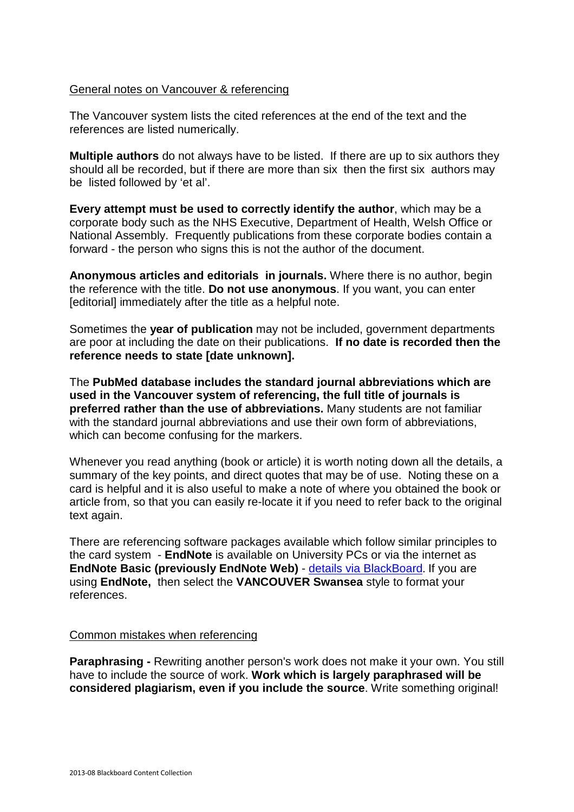#### General notes on Vancouver & referencing

The Vancouver system lists the cited references at the end of the text and the references are listed numerically.

**Multiple authors** do not always have to be listed. If there are up to six authors they should all be recorded, but if there are more than six then the first six authors may be listed followed by 'et al'.

**Every attempt must be used to correctly identify the author**, which may be a corporate body such as the NHS Executive, Department of Health, Welsh Office or National Assembly. Frequently publications from these corporate bodies contain a forward - the person who signs this is not the author of the document.

**Anonymous articles and editorials in journals.** Where there is no author, begin the reference with the title. **Do not use anonymous**. If you want, you can enter [editorial] immediately after the title as a helpful note.

Sometimes the **year of publication** may not be included, government departments are poor at including the date on their publications. **If no date is recorded then the reference needs to state [date unknown].** 

The **PubMed database includes the standard journal abbreviations which are used in the Vancouver system of referencing, the full title of journals is preferred rather than the use of abbreviations.** Many students are not familiar with the standard journal abbreviations and use their own form of abbreviations, which can become confusing for the markers.

Whenever you read anything (book or article) it is worth noting down all the details, a summary of the key points, and direct quotes that may be of use. Noting these on a card is helpful and it is also useful to make a note of where you obtained the book or article from, so that you can easily re-locate it if you need to refer back to the original text again.

There are referencing software packages available which follow similar principles to the card system - **EndNote** is available on University PCs or via the internet as **EndNote Basic (previously EndNote Web)** - details via BlackBoard. If you are using **EndNote,** then select the **VANCOUVER Swansea** style to format your references.

#### Common mistakes when referencing

**Paraphrasing - Rewriting another person's work does not make it your own. You still** have to include the source of work. **Work which is largely paraphrased will be considered plagiarism, even if you include the source**. Write something original!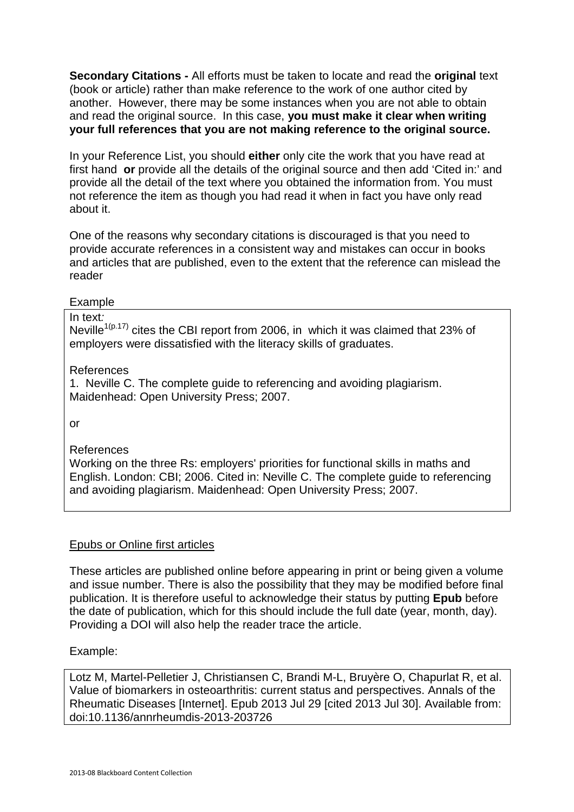**Secondary Citations -** All efforts must be taken to locate and read the **original** text (book or article) rather than make reference to the work of one author cited by another. However, there may be some instances when you are not able to obtain and read the original source. In this case, **you must make it clear when writing your full references that you are not making reference to the original source.**

In your Reference List, you should **either** only cite the work that you have read at first hand **or** provide all the details of the original source and then add 'Cited in:' and provide all the detail of the text where you obtained the information from. You must not reference the item as though you had read it when in fact you have only read about it.

One of the reasons why secondary citations is discouraged is that you need to provide accurate references in a consistent way and mistakes can occur in books and articles that are published, even to the extent that the reference can mislead the reader

Example

In text: Neville<sup>1(p.17)</sup> cites the CBI report from 2006, in which it was claimed that 23% of employers were dissatisfied with the literacy skills of graduates.

## References

1. Neville C. The complete guide to referencing and avoiding plagiarism. Maidenhead: Open University Press; 2007.

or

References

Working on the three Rs: employers' priorities for functional skills in maths and English. London: CBI; 2006. Cited in: Neville C. The complete guide to referencing and avoiding plagiarism. Maidenhead: Open University Press; 2007.

# Epubs or Online first articles

These articles are published online before appearing in print or being given a volume and issue number. There is also the possibility that they may be modified before final publication. It is therefore useful to acknowledge their status by putting **Epub** before the date of publication, which for this should include the full date (year, month, day). Providing a DOI will also help the reader trace the article.

Example:

Lotz M, Martel-Pelletier J, Christiansen C, Brandi M-L, Bruyère O, Chapurlat R, et al. Value of biomarkers in osteoarthritis: current status and perspectives. Annals of the Rheumatic Diseases [Internet]. Epub 2013 Jul 29 [cited 2013 Jul 30]. Available from: doi:10.1136/annrheumdis-2013-203726